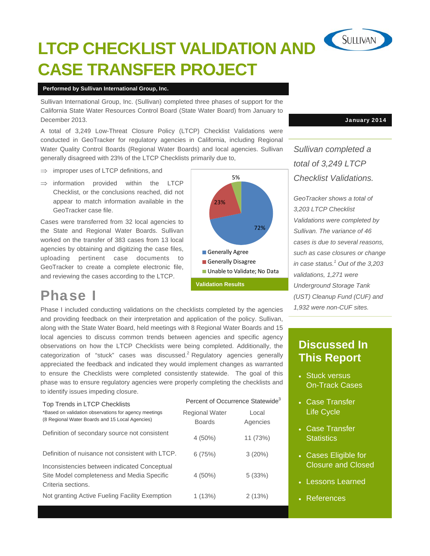# SULLIVAN **LTCP CHECKLIST VALIDATION AND CASE TRANSFER PROJECT**

#### **Performed by Sullivan International Group, Inc.**

Sullivan International Group, Inc. (Sullivan) completed three phases of support for the California State Water Resources Control Board (State Water Board) from January to December 2013.

A total of 3,249 Low-Threat Closure Policy (LTCP) Checklist Validations were conducted in GeoTracker for regulatory agencies in California, including Regional Water Quality Control Boards (Regional Water Boards) and local agencies. Sullivan generally disagreed with 23% of the LTCP Checklists primarily due to,

- $\Rightarrow$  improper uses of LTCP definitions, and
- $\Rightarrow$  information provided within the LTCP Checklist, or the conclusions reached, did not appear to match information available in the GeoTracker case file.

Cases were transferred from 32 local agencies to the State and Regional Water Boards. Sullivan worked on the transfer of 383 cases from 13 local agencies by obtaining and digitizing the case files, uploading pertinent case documents to GeoTracker to create a complete electronic file, and reviewing the cases according to the LTCP.



## Phase I

Phase I included conducting validations on the checklists completed by the agencies and providing feedback on their interpretation and application of the policy. Sullivan, along with the State Water Board, held meetings with 8 Regional Water Boards and 15 local agencies to discuss common trends between agencies and specific agency observations on how the LTCP Checklists were being completed. Additionally, the categorization of "stuck" cases was discussed.<sup>2</sup> Regulatory agencies generally appreciated the feedback and indicated they would implement changes as warranted to ensure the Checklists were completed consistently statewide. The goal of this phase was to ensure regulatory agencies were properly completing the checklists and to identify issues impeding closure.

| Top Trends in LTCP Checklists                                                                                    | Percent of Occurrence Statewide <sup>3</sup> |                   |
|------------------------------------------------------------------------------------------------------------------|----------------------------------------------|-------------------|
| *Based on validation observations for agency meetings<br>(8 Regional Water Boards and 15 Local Agencies)         | <b>Regional Water</b><br><b>Boards</b>       | Local<br>Agencies |
| Definition of secondary source not consistent                                                                    | $4(50\%)$                                    | 11 (73%)          |
| Definition of nuisance not consistent with LTCP.                                                                 | 6(75%)                                       | 3(20%)            |
| Inconsistencies between indicated Conceptual<br>Site Model completeness and Media Specific<br>Criteria sections. | $4(50\%)$                                    | 5(33%)            |
| Not granting Active Fueling Facility Exemption                                                                   | 1(13%)                                       | 2(13%)            |

January 2014

*Sullivan completed a total of 3,249 LTCP Checklist Validations.* 

*GeoTracker shows a total of 3,203 LTCP Checklist Validations were completed by Sullivan. The variance of 46 cases is due to several reasons, such as case closures or change in case status.1 Out of the 3,203 validations, 1,271 were Underground Storage Tank (UST) Cleanup Fund (CUF) and 1,932 were non-CUF sites.* 

### **Discussed In This Report**

- Stuck versus On-Track Cases
- Case Transfer Life Cycle
- Case Transfer **Statistics**
- Cases Eligible for Closure and Closed
- Lessons Learned
- References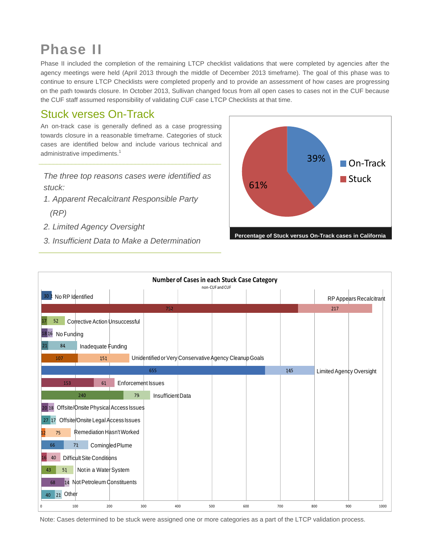# Phase II

Phase II included the completion of the remaining LTCP checklist validations that were completed by agencies after the agency meetings were held (April 2013 through the middle of December 2013 timeframe). The goal of this phase was to continue to ensure LTCP Checklists were completed properly and to provide an assessment of how cases are progressing on the path towards closure. In October 2013, Sullivan changed focus from all open cases to cases not in the CUF because the CUF staff assumed responsibility of validating CUF case LTCP Checklists at that time.

## Stuck verses On-Track

An on-track case is generally defined as a case progressing towards closure in a reasonable timeframe. Categories of stuck cases are identified below and include various technical and administrative impediments.<sup>1</sup>

*The three top reasons cases were identified as stuck:* 

- *1. Apparent Recalcitrant Responsible Party (RP)*
- *2. Limited Agency Oversight*
- 





Note: Cases determined to be stuck were assigned one or more categories as a part of the LTCP validation process.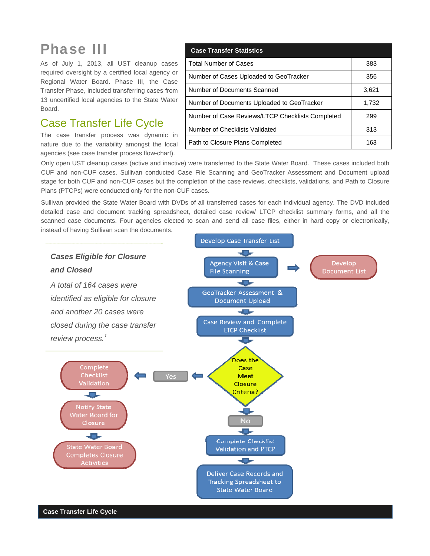# Phase III

As of July 1, 2013, all UST cleanup cases required oversight by a certified local agency or Regional Water Board. Phase III, the Case Transfer Phase, included transferring cases from 13 uncertified local agencies to the State Water Board.

#### Case Transfer Life Cycle

The case transfer process was dynamic in nature due to the variability amongst the local agencies (see case transfer process flow-chart).

| <b>Case Transfer Statistics</b>                  |       |  |
|--------------------------------------------------|-------|--|
| <b>Total Number of Cases</b>                     | 383   |  |
| Number of Cases Uploaded to GeoTracker           | 356   |  |
| Number of Documents Scanned                      | 3,621 |  |
| Number of Documents Uploaded to GeoTracker       | 1,732 |  |
| Number of Case Reviews/LTCP Checklists Completed | 299   |  |
| Number of Checklists Validated                   | 313   |  |
| Path to Closure Plans Completed                  | 163   |  |

Only open UST cleanup cases (active and inactive) were transferred to the State Water Board. These cases included both CUF and non-CUF cases. Sullivan conducted Case File Scanning and GeoTracker Assessment and Document upload stage for both CUF and non-CUF cases but the completion of the case reviews, checklists, validations, and Path to Closure Plans (PTCPs) were conducted only for the non-CUF cases.

Sullivan provided the State Water Board with DVDs of all transferred cases for each individual agency. The DVD included detailed case and document tracking spreadsheet, detailed case review/ LTCP checklist summary forms, and all the scanned case documents. Four agencies elected to scan and send all case files, either in hard copy or electronically, instead of having Sullivan scan the documents.